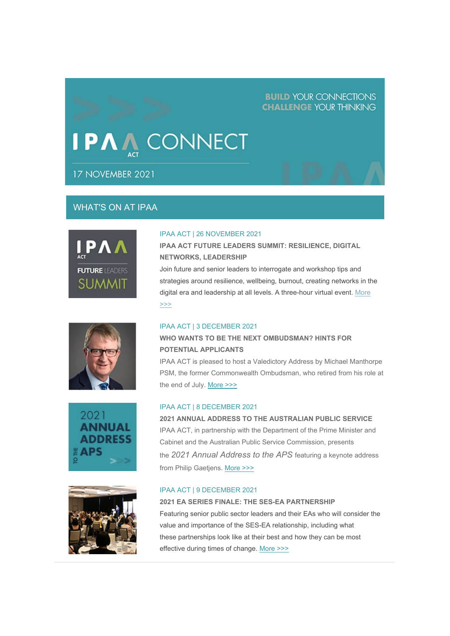# **BUILD YOUR CONNECTIONS CHALLENGE YOUR THINKING**

# **CONNECT**

17 NOVEMBER 2021

# WHAT'S ON AT IPAA









#### IPAA ACT | 26 NOVEMBER 2021

**IPAA ACT FUTURE LEADERS SUMMIT: RESILIENCE, DIGITAL NETWORKS, LEADERSHIP**

Join future and senior leaders to interrogate and workshop tips and strategies around resilience, wellbeing, burnout, creating networks in the digital era and leadership at all levels. A three-hour virtual event. [More](https://aus01.safelinks.protection.outlook.com/?url=https%3A%2F%2Fipaa.us12.list-manage.com%2Ftrack%2Fclick%3Fu%3Dfb24f2b534c8ee743cb139793%26id%3Ddc3be0af0f%26e%3Df01f53c2f2&data=04%7C01%7Csarah.hope%40act.ipaa.org.au%7Cdf538919aa1843dfc68f08d9a94449b1%7C988ae5fe7f854c17afb1bc28eeec1d16%7C0%7C0%7C637726933043535707%7CUnknown%7CTWFpbGZsb3d8eyJWIjoiMC4wLjAwMDAiLCJQIjoiV2luMzIiLCJBTiI6Ik1haWwiLCJXVCI6Mn0%3D%7C3000&sdata=kJPcUuS%2FsAy54vQ2LT2vlMwQPLUEHxNJ6JWQiPyuMFg%3D&reserved=0)  [>>>](https://aus01.safelinks.protection.outlook.com/?url=https%3A%2F%2Fipaa.us12.list-manage.com%2Ftrack%2Fclick%3Fu%3Dfb24f2b534c8ee743cb139793%26id%3Ddc3be0af0f%26e%3Df01f53c2f2&data=04%7C01%7Csarah.hope%40act.ipaa.org.au%7Cdf538919aa1843dfc68f08d9a94449b1%7C988ae5fe7f854c17afb1bc28eeec1d16%7C0%7C0%7C637726933043535707%7CUnknown%7CTWFpbGZsb3d8eyJWIjoiMC4wLjAwMDAiLCJQIjoiV2luMzIiLCJBTiI6Ik1haWwiLCJXVCI6Mn0%3D%7C3000&sdata=kJPcUuS%2FsAy54vQ2LT2vlMwQPLUEHxNJ6JWQiPyuMFg%3D&reserved=0)

#### IPAA ACT | 3 DECEMBER 2021

# **WHO WANTS TO BE THE NEXT OMBUDSMAN? HINTS FOR POTENTIAL APPLICANTS**

IPAA ACT is pleased to host a Valedictory Address by Michael Manthorpe PSM, the former Commonwealth Ombudsman, who retired from his role at the end of July. [More >>>](https://aus01.safelinks.protection.outlook.com/?url=https%3A%2F%2Fipaa.us12.list-manage.com%2Ftrack%2Fclick%3Fu%3Dfb24f2b534c8ee743cb139793%26id%3D6debf12aad%26e%3Df01f53c2f2&data=04%7C01%7Csarah.hope%40act.ipaa.org.au%7Cdf538919aa1843dfc68f08d9a94449b1%7C988ae5fe7f854c17afb1bc28eeec1d16%7C0%7C0%7C637726933043545664%7CUnknown%7CTWFpbGZsb3d8eyJWIjoiMC4wLjAwMDAiLCJQIjoiV2luMzIiLCJBTiI6Ik1haWwiLCJXVCI6Mn0%3D%7C3000&sdata=uZPwhp2QzlhtAxsNw3RC2nZSEU%2F0Sja52yBF%2B8lSsYc%3D&reserved=0)

#### IPAA ACT | 8 DECEMBER 2021

**2021 ANNUAL ADDRESS TO THE AUSTRALIAN PUBLIC SERVICE** IPAA ACT, in partnership with the Department of the Prime Minister and Cabinet and the Australian Public Service Commission, presents the *2021 Annual Address to the APS* featuring a keynote address from Philip Gaetjens. [More >>>](https://aus01.safelinks.protection.outlook.com/?url=https%3A%2F%2Fipaa.us12.list-manage.com%2Ftrack%2Fclick%3Fu%3Dfb24f2b534c8ee743cb139793%26id%3Dd97a0142f3%26e%3Df01f53c2f2&data=04%7C01%7Csarah.hope%40act.ipaa.org.au%7Cdf538919aa1843dfc68f08d9a94449b1%7C988ae5fe7f854c17afb1bc28eeec1d16%7C0%7C0%7C637726933043545664%7CUnknown%7CTWFpbGZsb3d8eyJWIjoiMC4wLjAwMDAiLCJQIjoiV2luMzIiLCJBTiI6Ik1haWwiLCJXVCI6Mn0%3D%7C3000&sdata=BJqr6ycJr0UUERlr8rojS0Riu%2B9MC%2BVAg4A%2BQ9hzN3E%3D&reserved=0)

## IPAA ACT | 9 DECEMBER 2021

**2021 EA SERIES FINALE: THE SES-EA PARTNERSHIP** Featuring senior public sector leaders and their EAs who will consider the value and importance of the SES-EA relationship, including what these partnerships look like at their best and how they can be most effective during times of change. [More >>>](https://aus01.safelinks.protection.outlook.com/?url=https%3A%2F%2Fipaa.us12.list-manage.com%2Ftrack%2Fclick%3Fu%3Dfb24f2b534c8ee743cb139793%26id%3D75b9f7bf50%26e%3Df01f53c2f2&data=04%7C01%7Csarah.hope%40act.ipaa.org.au%7Cdf538919aa1843dfc68f08d9a94449b1%7C988ae5fe7f854c17afb1bc28eeec1d16%7C0%7C0%7C637726933043555614%7CUnknown%7CTWFpbGZsb3d8eyJWIjoiMC4wLjAwMDAiLCJQIjoiV2luMzIiLCJBTiI6Ik1haWwiLCJXVCI6Mn0%3D%7C3000&sdata=XD0UqetCEuFhT7pnvGperM05fPaHKMGa4dyK5YhZpBc%3D&reserved=0)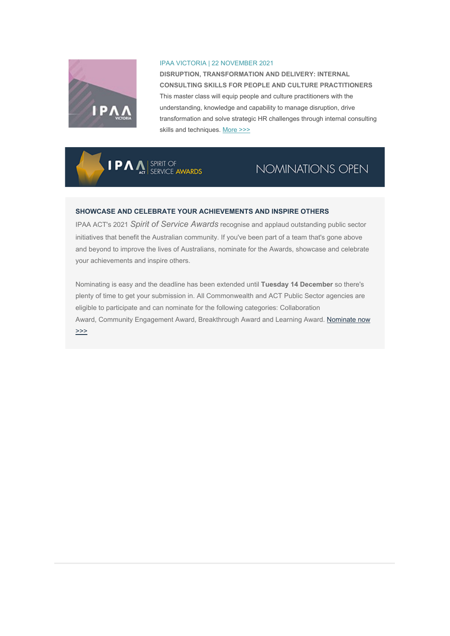

#### IPAA VICTORIA | 22 NOVEMBER 2021

**DISRUPTION, TRANSFORMATION AND DELIVERY: INTERNAL CONSULTING SKILLS FOR PEOPLE AND CULTURE PRACTITIONERS** This master class will equip people and culture practitioners with the understanding, knowledge and capability to manage disruption, drive transformation and solve strategic HR challenges through internal consulting skills and techniques. [More >>>](https://aus01.safelinks.protection.outlook.com/?url=https%3A%2F%2Fipaa.us12.list-manage.com%2Ftrack%2Fclick%3Fu%3Dfb24f2b534c8ee743cb139793%26id%3D0f58caacde%26e%3Df01f53c2f2&data=04%7C01%7Csarah.hope%40act.ipaa.org.au%7Cdf538919aa1843dfc68f08d9a94449b1%7C988ae5fe7f854c17afb1bc28eeec1d16%7C0%7C0%7C637726933043555614%7CUnknown%7CTWFpbGZsb3d8eyJWIjoiMC4wLjAwMDAiLCJQIjoiV2luMzIiLCJBTiI6Ik1haWwiLCJXVCI6Mn0%3D%7C3000&sdata=k%2B%2BNOZLQfjxxkTGSRjgH9tN4y5HXAjJnOtDv9jJoFLE%3D&reserved=0)

**IPA** A SPIRIT OF

# NOMINATIONS OPEN

## **SHOWCASE AND CELEBRATE YOUR ACHIEVEMENTS AND INSPIRE OTHERS**

IPAA ACT's 2021 *Spirit of Service Awards* recognise and applaud outstanding public sector initiatives that benefit the Australian community. If you've been part of a team that's gone above and beyond to improve the lives of Australians, nominate for the Awards, showcase and celebrate your achievements and inspire others.

Nominating is easy and the deadline has been extended until **Tuesday 14 December** so there's plenty of time to get your submission in. All Commonwealth and ACT Public Sector agencies are eligible to participate and can nominate for the following categories: Collaboration Award, Community Engagement Award, Breakthrough Award and Learning Award. Nominate now [>>>](https://aus01.safelinks.protection.outlook.com/?url=https%3A%2F%2Fipaa.us12.list-manage.com%2Ftrack%2Fclick%3Fu%3Dfb24f2b534c8ee743cb139793%26id%3D7fb70400b7%26e%3Df01f53c2f2&data=04%7C01%7Csarah.hope%40act.ipaa.org.au%7Cdf538919aa1843dfc68f08d9a94449b1%7C988ae5fe7f854c17afb1bc28eeec1d16%7C0%7C0%7C637726933043575535%7CUnknown%7CTWFpbGZsb3d8eyJWIjoiMC4wLjAwMDAiLCJQIjoiV2luMzIiLCJBTiI6Ik1haWwiLCJXVCI6Mn0%3D%7C3000&sdata=HDVyb7fBgNuupo1aQLaAf2Zt2k%2BoRy9v28%2FanVfurPs%3D&reserved=0)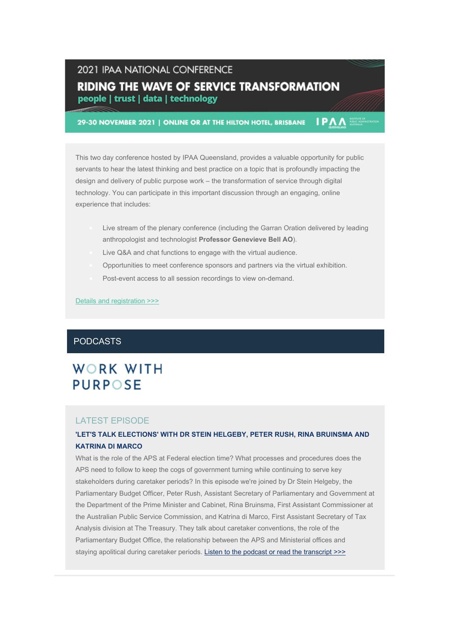# 2021 IPAA NATIONAL CONFERENCE **RIDING THE WAVE OF SERVICE TRANSFORMATION** people | trust | data | technology

29-30 NOVEMBER 2021 | ONLINE OR AT THE HILTON HOTEL, BRISBANE

This two day conference hosted by IPAA Queensland, provides a valuable opportunity for public servants to hear the latest thinking and best practice on a topic that is profoundly impacting the design and delivery of public purpose work – the transformation of service through digital technology. You can participate in this important discussion through an engaging, online experience that includes:

**IPAA** 

- Live stream of the plenary conference (including the Garran Oration delivered by leading anthropologist and technologist **Professor Genevieve Bell AO**).
- Live Q&A and chat functions to engage with the virtual audience.
- Opportunities to meet conference sponsors and partners via the virtual exhibition.
- Post-event access to all session recordings to view on-demand.

#### [Details and registration](https://aus01.safelinks.protection.outlook.com/?url=https%3A%2F%2Fipaa.us12.list-manage.com%2Ftrack%2Fclick%3Fu%3Dfb24f2b534c8ee743cb139793%26id%3Def851f8f3c%26e%3Df01f53c2f2&data=04%7C01%7Csarah.hope%40act.ipaa.org.au%7Cdf538919aa1843dfc68f08d9a94449b1%7C988ae5fe7f854c17afb1bc28eeec1d16%7C0%7C0%7C637726933043575535%7CUnknown%7CTWFpbGZsb3d8eyJWIjoiMC4wLjAwMDAiLCJQIjoiV2luMzIiLCJBTiI6Ik1haWwiLCJXVCI6Mn0%3D%7C3000&sdata=3ZrRZIQSuB%2BP5moOxJekGhYqh2cEQiJWp6ONST1h5WI%3D&reserved=0) >>>

# PODCASTS

# **WORK WITH PURPOSE**

# LATEST EPISODE

## **'LET'S TALK ELECTIONS' WITH DR STEIN HELGEBY, PETER RUSH, RINA BRUINSMA AND KATRINA DI MARCO**

What is the role of the APS at Federal election time? What processes and procedures does the APS need to follow to keep the cogs of government turning while continuing to serve key stakeholders during caretaker periods? In this episode we're joined by Dr Stein Helgeby, the Parliamentary Budget Officer, Peter Rush, Assistant Secretary of Parliamentary and Government at the Department of the Prime Minister and Cabinet, Rina Bruinsma, First Assistant Commissioner at the Australian Public Service Commission, and Katrina di Marco, First Assistant Secretary of Tax Analysis division at The Treasury. They talk about caretaker conventions, the role of the Parliamentary Budget Office, the relationship between the APS and Ministerial offices and staying apolitical during caretaker periods. [Listen to the podcast or read the transcript](https://aus01.safelinks.protection.outlook.com/?url=https%3A%2F%2Fipaa.us12.list-manage.com%2Ftrack%2Fclick%3Fu%3Dfb24f2b534c8ee743cb139793%26id%3D792a9a0089%26e%3Df01f53c2f2&data=04%7C01%7Csarah.hope%40act.ipaa.org.au%7Cdf538919aa1843dfc68f08d9a94449b1%7C988ae5fe7f854c17afb1bc28eeec1d16%7C0%7C0%7C637726933043585489%7CUnknown%7CTWFpbGZsb3d8eyJWIjoiMC4wLjAwMDAiLCJQIjoiV2luMzIiLCJBTiI6Ik1haWwiLCJXVCI6Mn0%3D%7C3000&sdata=rjBjojVEd1yqVPLMs7h15eoxjXreL4ayaYDyYaQNfvM%3D&reserved=0) >>>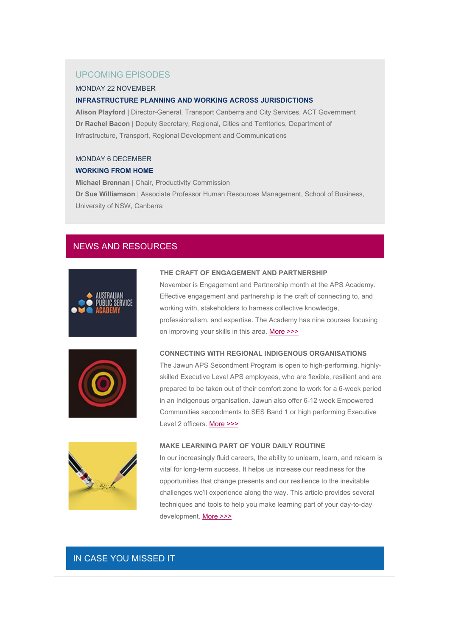# UPCOMING EPISODES

#### MONDAY 22 NOVEMBER

#### **INFRASTRUCTURE PLANNING AND WORKING ACROSS JURISDICTIONS**

**Alison Playford** | Director-General, Transport Canberra and City Services, ACT Government **Dr Rachel Bacon** | Deputy Secretary, Regional, Cities and Territories, Department of Infrastructure, Transport, Regional Development and Communications

#### MONDAY 6 DECEMBER

#### **WORKING FROM HOME**

**Michael Brennan** | Chair, Productivity Commission **Dr Sue Williamson** | Associate Professor Human Resources Management, School of Business, University of NSW, Canberra

# NEWS AND RESOURCES



#### **THE CRAFT OF ENGAGEMENT AND PARTNERSHIP**

November is Engagement and Partnership month at the APS Academy. Effective engagement and partnership is the craft of connecting to, and working with, stakeholders to harness collective knowledge, professionalism, and expertise. The Academy has nine courses focusing on improving your skills in this area. [More >>>](https://aus01.safelinks.protection.outlook.com/?url=https%3A%2F%2Fipaa.us12.list-manage.com%2Ftrack%2Fclick%3Fu%3Dfb24f2b534c8ee743cb139793%26id%3Dcb2488d060%26e%3Df01f53c2f2&data=04%7C01%7Csarah.hope%40act.ipaa.org.au%7Cdf538919aa1843dfc68f08d9a94449b1%7C988ae5fe7f854c17afb1bc28eeec1d16%7C0%7C0%7C637726933043595450%7CUnknown%7CTWFpbGZsb3d8eyJWIjoiMC4wLjAwMDAiLCJQIjoiV2luMzIiLCJBTiI6Ik1haWwiLCJXVCI6Mn0%3D%7C3000&sdata=3BX3DezCYJHOv69wMPMeVTNL1oxObc2bs%2F9VJRj3wuc%3D&reserved=0)



#### **CONNECTING WITH REGIONAL INDIGENOUS ORGANISATIONS**

The Jawun APS Secondment Program is open to high-performing, highlyskilled Executive Level APS employees, who are flexible, resilient and are prepared to be taken out of their comfort zone to work for a 6-week period in an Indigenous organisation. Jawun also offer 6-12 week Empowered Communities secondments to SES Band 1 or high performing Executive Level 2 officers. [More >>>](https://aus01.safelinks.protection.outlook.com/?url=https%3A%2F%2Fipaa.us12.list-manage.com%2Ftrack%2Fclick%3Fu%3Dfb24f2b534c8ee743cb139793%26id%3D9704b346d4%26e%3Df01f53c2f2&data=04%7C01%7Csarah.hope%40act.ipaa.org.au%7Cdf538919aa1843dfc68f08d9a94449b1%7C988ae5fe7f854c17afb1bc28eeec1d16%7C0%7C0%7C637726933043595450%7CUnknown%7CTWFpbGZsb3d8eyJWIjoiMC4wLjAwMDAiLCJQIjoiV2luMzIiLCJBTiI6Ik1haWwiLCJXVCI6Mn0%3D%7C3000&sdata=BexzWnutPJIRX5%2FcJEcCc8VHorcy7AZM3y28OokJ3%2Bg%3D&reserved=0)



#### **MAKE LEARNING PART OF YOUR DAILY ROUTINE**

In our increasingly fluid careers, the ability to unlearn, learn, and relearn is vital for long-term success. It helps us increase our readiness for the opportunities that change presents and our resilience to the inevitable challenges we'll experience along the way. This article provides several techniques and tools to help you make learning part of your day-to-day development. [More >>>](https://aus01.safelinks.protection.outlook.com/?url=https%3A%2F%2Fipaa.us12.list-manage.com%2Ftrack%2Fclick%3Fu%3Dfb24f2b534c8ee743cb139793%26id%3D564c3d0e0c%26e%3Df01f53c2f2&data=04%7C01%7Csarah.hope%40act.ipaa.org.au%7Cdf538919aa1843dfc68f08d9a94449b1%7C988ae5fe7f854c17afb1bc28eeec1d16%7C0%7C0%7C637726933043605404%7CUnknown%7CTWFpbGZsb3d8eyJWIjoiMC4wLjAwMDAiLCJQIjoiV2luMzIiLCJBTiI6Ik1haWwiLCJXVCI6Mn0%3D%7C3000&sdata=LpU8Bl38%2FkOyCXmyCzr7aVByWcWtnIKpT47YPm1mx6k%3D&reserved=0)

# IN CASE YOU MISSED IT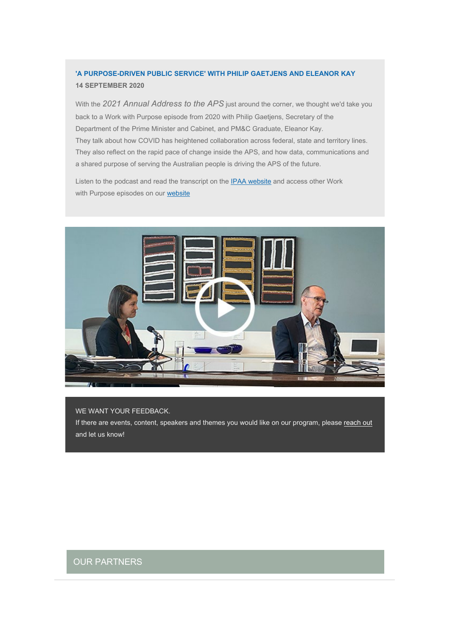# **'A PURPOSE-DRIVEN PUBLIC SERVICE' WITH PHILIP GAETJENS AND ELEANOR KAY 14 SEPTEMBER 2020**

With the *2021 Annual Address to the APS* just around the corner, we thought we'd take you back to a Work with Purpose episode from 2020 with Philip Gaetjens, Secretary of the Department of the Prime Minister and Cabinet, and PM&C Graduate, Eleanor Kay. They talk about how COVID has heightened collaboration across federal, state and territory lines. They also reflect on the rapid pace of change inside the APS, and how data, communications and a shared purpose of serving the Australian people is driving the APS of the future.

Listen to the podcast and read the transcript on the [IPAA website](https://aus01.safelinks.protection.outlook.com/?url=https%3A%2F%2Fipaa.us12.list-manage.com%2Ftrack%2Fclick%3Fu%3Dfb24f2b534c8ee743cb139793%26id%3D5b8706e3a9%26e%3Df01f53c2f2&data=04%7C01%7Csarah.hope%40act.ipaa.org.au%7Cdf538919aa1843dfc68f08d9a94449b1%7C988ae5fe7f854c17afb1bc28eeec1d16%7C0%7C0%7C637726933043605404%7CUnknown%7CTWFpbGZsb3d8eyJWIjoiMC4wLjAwMDAiLCJQIjoiV2luMzIiLCJBTiI6Ik1haWwiLCJXVCI6Mn0%3D%7C3000&sdata=90EJuUlFOWYmulyTxNulGjVqQON4t%2FUM0pLIZo%2Fjrxk%3D&reserved=0) and access other Work with Purpose episodes on our [website](https://aus01.safelinks.protection.outlook.com/?url=https%3A%2F%2Fipaa.us12.list-manage.com%2Ftrack%2Fclick%3Fu%3Dfb24f2b534c8ee743cb139793%26id%3D325ceaa1bf%26e%3Df01f53c2f2&data=04%7C01%7Csarah.hope%40act.ipaa.org.au%7Cdf538919aa1843dfc68f08d9a94449b1%7C988ae5fe7f854c17afb1bc28eeec1d16%7C0%7C0%7C637726933043615361%7CUnknown%7CTWFpbGZsb3d8eyJWIjoiMC4wLjAwMDAiLCJQIjoiV2luMzIiLCJBTiI6Ik1haWwiLCJXVCI6Mn0%3D%7C3000&sdata=OeTnfYPReecCl39l5HjG7IYbG%2Ft6UdriHeMNH0%2BF7VQ%3D&reserved=0)



### WE WANT YOUR FEEDBACK.

If there are events, content, speakers and themes you would like on our program, please [reach out](mailto:admin@act.ipaa.org.au) and let us know!

# OUR PARTNERS